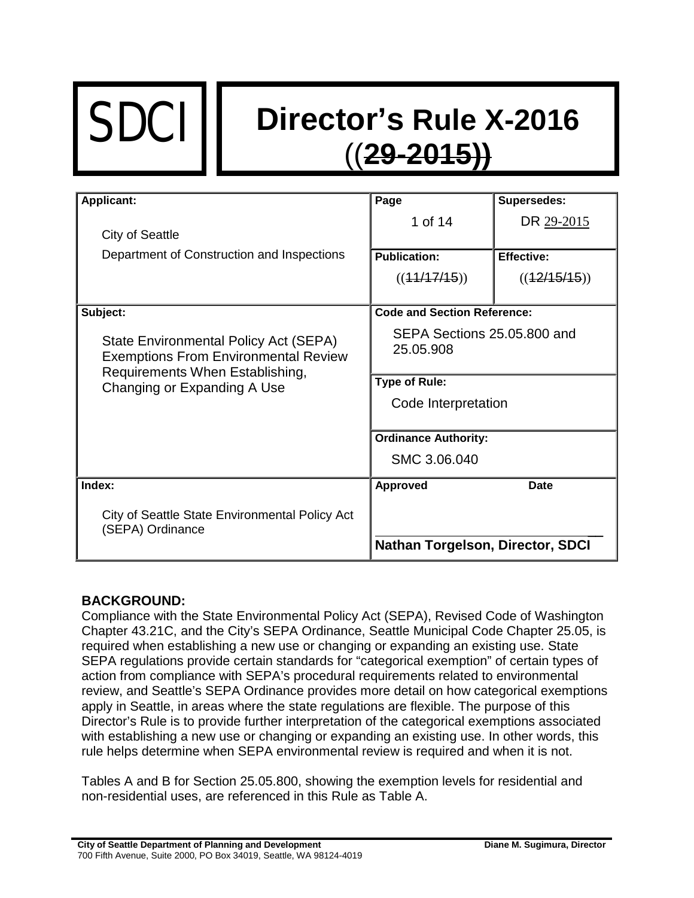# SDCI **Director's Rule X-2016** ((**29-2015))**

| <b>Applicant:</b>                                                                                                                                      | Page                                     | <b>Supersedes:</b> |
|--------------------------------------------------------------------------------------------------------------------------------------------------------|------------------------------------------|--------------------|
|                                                                                                                                                        | 1 of 14                                  | DR 29-2015         |
| <b>City of Seattle</b>                                                                                                                                 |                                          |                    |
| Department of Construction and Inspections                                                                                                             | <b>Publication:</b>                      | <b>Effective:</b>  |
|                                                                                                                                                        | ((41/17/15))                             | ((42/15/15))       |
|                                                                                                                                                        |                                          |                    |
| Subject:                                                                                                                                               | <b>Code and Section Reference:</b>       |                    |
| State Environmental Policy Act (SEPA)<br><b>Exemptions From Environmental Review</b><br>Requirements When Establishing,<br>Changing or Expanding A Use | SEPA Sections 25.05.800 and<br>25.05.908 |                    |
|                                                                                                                                                        | <b>Type of Rule:</b>                     |                    |
|                                                                                                                                                        | Code Interpretation                      |                    |
|                                                                                                                                                        |                                          |                    |
|                                                                                                                                                        | <b>Ordinance Authority:</b>              |                    |
|                                                                                                                                                        | SMC 3.06.040                             |                    |
| Index:                                                                                                                                                 | <b>Approved</b>                          | <b>Date</b>        |
| City of Seattle State Environmental Policy Act<br>(SEPA) Ordinance                                                                                     |                                          |                    |
|                                                                                                                                                        | <b>Nathan Torgelson, Director, SDCI</b>  |                    |

# **BACKGROUND:**

Compliance with the State Environmental Policy Act (SEPA), Revised Code of Washington Chapter 43.21C, and the City's SEPA Ordinance, Seattle Municipal Code Chapter 25.05, is required when establishing a new use or changing or expanding an existing use. State SEPA regulations provide certain standards for "categorical exemption" of certain types of action from compliance with SEPA's procedural requirements related to environmental review, and Seattle's SEPA Ordinance provides more detail on how categorical exemptions apply in Seattle, in areas where the state regulations are flexible. The purpose of this Director's Rule is to provide further interpretation of the categorical exemptions associated with establishing a new use or changing or expanding an existing use. In other words, this rule helps determine when SEPA environmental review is required and when it is not.

Tables A and B for Section 25.05.800, showing the exemption levels for residential and non-residential uses, are referenced in this Rule as Table A.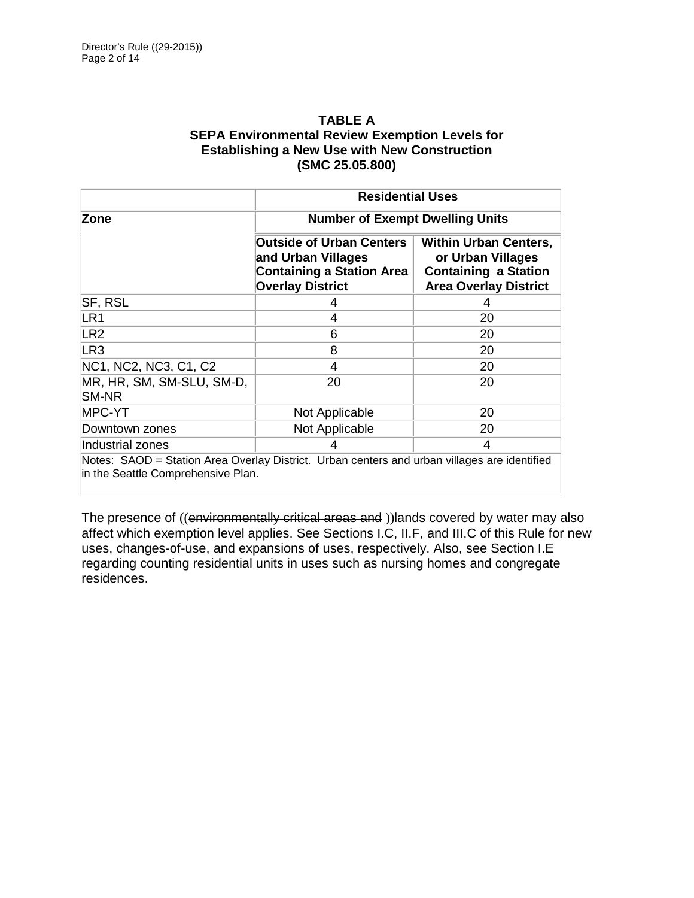### **TABLE A SEPA Environmental Review Exemption Levels for Establishing a New Use with New Construction (SMC 25.05.800)**

|                                     | <b>Residential Uses</b>                                                                                              |                                                                                                                  |  |
|-------------------------------------|----------------------------------------------------------------------------------------------------------------------|------------------------------------------------------------------------------------------------------------------|--|
| Zone                                | <b>Number of Exempt Dwelling Units</b>                                                                               |                                                                                                                  |  |
|                                     | <b>Outside of Urban Centers</b><br>and Urban Villages<br><b>Containing a Station Area</b><br><b>Overlay District</b> | <b>Within Urban Centers,</b><br>or Urban Villages<br><b>Containing a Station</b><br><b>Area Overlay District</b> |  |
| <b>SF, RSL</b>                      | 4                                                                                                                    | 4                                                                                                                |  |
| LR1                                 | 4                                                                                                                    | 20                                                                                                               |  |
| LR2                                 | 6                                                                                                                    | 20                                                                                                               |  |
| LR3                                 | 8                                                                                                                    | 20                                                                                                               |  |
| NC1, NC2, NC3, C1, C2               | 4                                                                                                                    | 20                                                                                                               |  |
| MR, HR, SM, SM-SLU, SM-D,<br>ISM-NR | 20                                                                                                                   | 20                                                                                                               |  |
| <b>MPC-YT</b>                       | Not Applicable                                                                                                       | 20                                                                                                               |  |
| Downtown zones                      | Not Applicable                                                                                                       | 20                                                                                                               |  |
| Industrial zones                    | 4                                                                                                                    | 4                                                                                                                |  |

Notes: SAOD = Station Area Overlay District. Urban centers and urban villages are identified in the Seattle Comprehensive Plan.

The presence of ((environmentally critical areas and )) lands covered by water may also affect which exemption level applies. See Sections I.C, II.F, and III.C of this Rule for new uses, changes-of-use, and expansions of uses, respectively. Also, see Section I.E regarding counting residential units in uses such as nursing homes and congregate residences.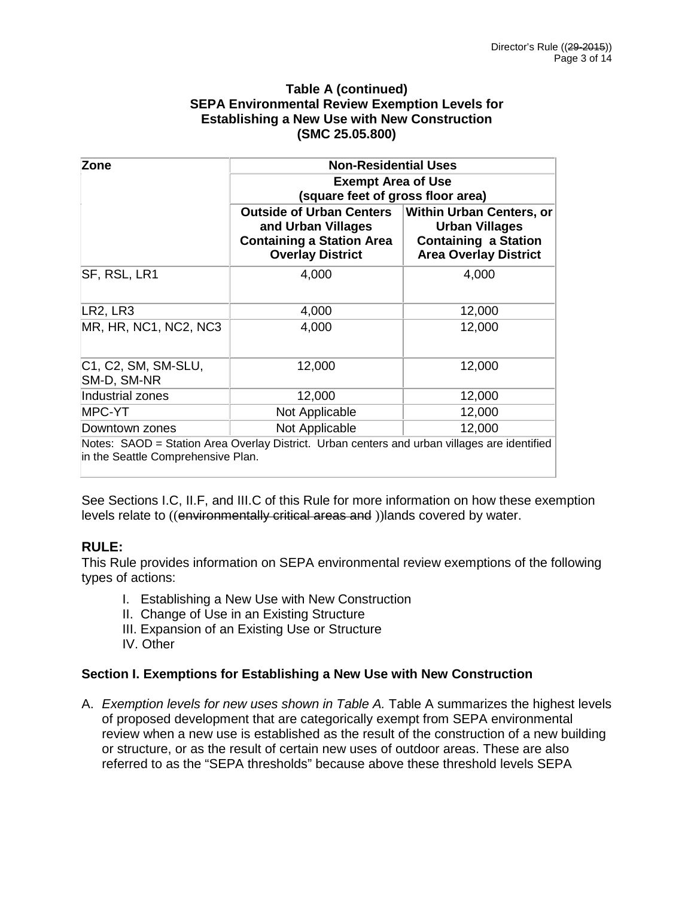#### **Table A (continued) SEPA Environmental Review Exemption Levels for Establishing a New Use with New Construction (SMC 25.05.800)**

| Zone                               | <b>Non-Residential Uses</b><br><b>Exempt Area of Use</b><br>(square feet of gross floor area)                        |                                                                                                                         |  |
|------------------------------------|----------------------------------------------------------------------------------------------------------------------|-------------------------------------------------------------------------------------------------------------------------|--|
|                                    |                                                                                                                      |                                                                                                                         |  |
|                                    | <b>Outside of Urban Centers</b><br>and Urban Villages<br><b>Containing a Station Area</b><br><b>Overlay District</b> | <b>Within Urban Centers, or</b><br><b>Urban Villages</b><br><b>Containing a Station</b><br><b>Area Overlay District</b> |  |
| SF, RSL, LR1                       | 4,000                                                                                                                | 4,000                                                                                                                   |  |
| LR2, LR3                           | 4,000                                                                                                                | 12,000                                                                                                                  |  |
| MR, HR, NC1, NC2, NC3              | 4,000                                                                                                                | 12,000                                                                                                                  |  |
| C1, C2, SM, SM-SLU,<br>SM-D, SM-NR | 12,000                                                                                                               | 12,000                                                                                                                  |  |
| Industrial zones                   | 12,000                                                                                                               | 12,000                                                                                                                  |  |
| <b>MPC-YT</b>                      | Not Applicable                                                                                                       | 12,000                                                                                                                  |  |
| Downtown zones                     | Not Applicable                                                                                                       | 12,000                                                                                                                  |  |
| in the Seattle Comprehensive Plan. | Notes: SAOD = Station Area Overlay District. Urban centers and urban villages are identified                         |                                                                                                                         |  |

See Sections I.C, II.F, and III.C of this Rule for more information on how these exemption levels relate to ((environmentally critical areas and ))lands covered by water.

# **RULE:**

This Rule provides information on SEPA environmental review exemptions of the following types of actions:

- I. Establishing a New Use with New Construction
- II. Change of Use in an Existing Structure
- III. Expansion of an Existing Use or Structure
- IV. Other

# **Section I. Exemptions for Establishing a New Use with New Construction**

A. *Exemption levels for new uses shown in Table A.* Table A summarizes the highest levels of proposed development that are categorically exempt from SEPA environmental review when a new use is established as the result of the construction of a new building or structure, or as the result of certain new uses of outdoor areas. These are also referred to as the "SEPA thresholds" because above these threshold levels SEPA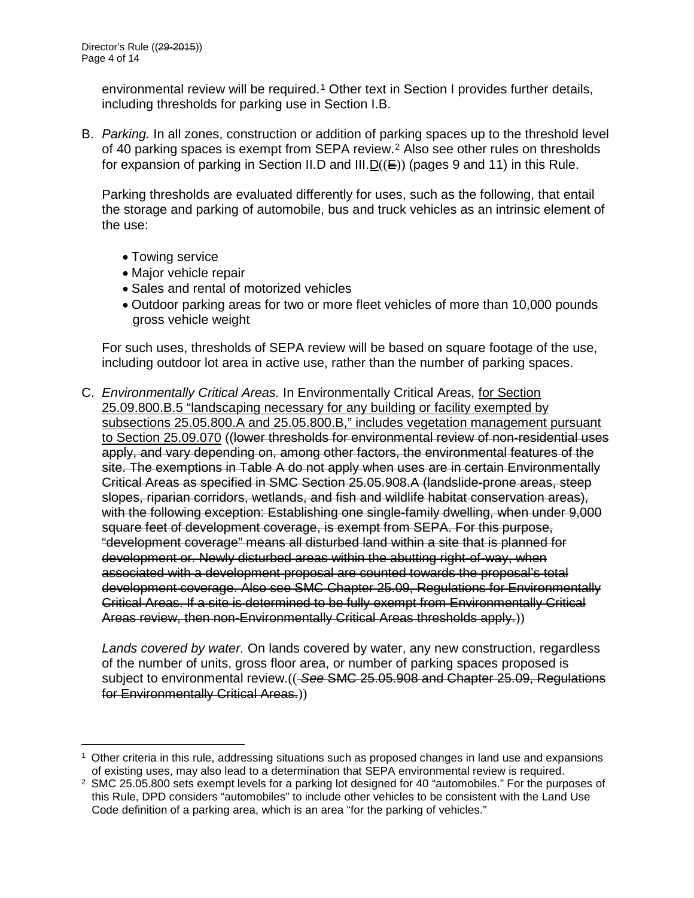environmental review will be required.<sup>[1](#page-3-0)</sup> Other text in Section I provides further details, including thresholds for parking use in Section I.B.

B. *Parking.* In all zones, construction or addition of parking spaces up to the threshold level of 40 parking spaces is exempt from SEPA review.<sup>[2](#page-3-1)</sup> Also see other rules on thresholds for expansion of parking in Section II.D and III.  $D(\epsilon)$  (pages 9 and 11) in this Rule.

Parking thresholds are evaluated differently for uses, such as the following, that entail the storage and parking of automobile, bus and truck vehicles as an intrinsic element of the use:

• Towing service

 $\overline{a}$ 

- Major vehicle repair
- Sales and rental of motorized vehicles
- Outdoor parking areas for two or more fleet vehicles of more than 10,000 pounds gross vehicle weight

For such uses, thresholds of SEPA review will be based on square footage of the use, including outdoor lot area in active use, rather than the number of parking spaces.

C. *Environmentally Critical Areas.* In Environmentally Critical Areas, for Section 25.09.800.B.5 "landscaping necessary for any building or facility exempted by subsections 25.05.800.A and 25.05.800.B," includes vegetation management pursuant to Section 25.09.070 ((lower thresholds for environmental review of non-residential uses apply, and vary depending on, among other factors, the environmental features of the site. The exemptions in Table A do not apply when uses are in certain Environmentally Critical Areas as specified in SMC Section 25.05.908.A (landslide-prone areas, steep slopes, riparian corridors, wetlands, and fish and wildlife habitat conservation areas), with the following exception: Establishing one single-family dwelling, when under 9,000 square feet of development coverage, is exempt from SEPA. For this purpose, "development coverage" means all disturbed land within a site that is planned for development or. Newly disturbed areas within the abutting right-of-way, when associated with a development proposal are counted towards the proposal's total development coverage. Also see SMC Chapter 25.09, Regulations for Environmentally Critical Areas. If a site is determined to be fully exempt from Environmentally Critical Areas review, then non-Environmentally Critical Areas thresholds apply.))

*Lands covered by water.* On lands covered by water, any new construction, regardless of the number of units, gross floor area, or number of parking spaces proposed is subject to environmental review.(( *See* SMC 25.05.908 and Chapter 25.09, Regulations for Environmentally Critical Areas.))

<span id="page-3-0"></span><sup>1</sup> Other criteria in this rule, addressing situations such as proposed changes in land use and expansions of existing uses, may also lead to a determination that SEPA environmental review is required.

<span id="page-3-1"></span><sup>&</sup>lt;sup>2</sup> SMC 25.05.800 sets exempt levels for a parking lot designed for 40 "automobiles." For the purposes of this Rule, DPD considers "automobiles" to include other vehicles to be consistent with the Land Use Code definition of a parking area, which is an area "for the parking of vehicles."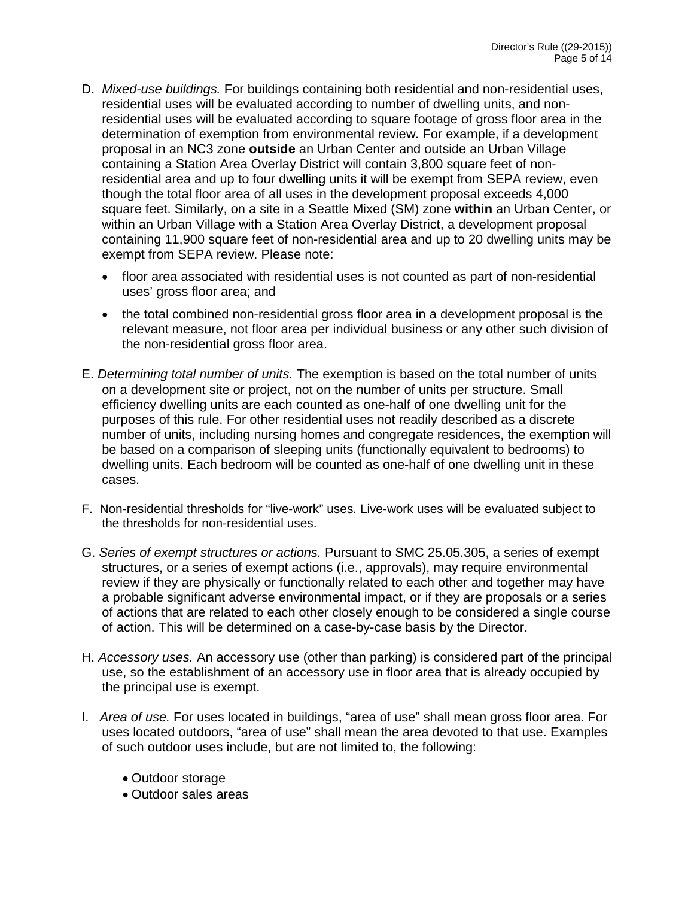- D. *Mixed-use buildings.* For buildings containing both residential and non-residential uses, residential uses will be evaluated according to number of dwelling units, and nonresidential uses will be evaluated according to square footage of gross floor area in the determination of exemption from environmental review. For example, if a development proposal in an NC3 zone **outside** an Urban Center and outside an Urban Village containing a Station Area Overlay District will contain 3,800 square feet of nonresidential area and up to four dwelling units it will be exempt from SEPA review, even though the total floor area of all uses in the development proposal exceeds 4,000 square feet. Similarly, on a site in a Seattle Mixed (SM) zone **within** an Urban Center, or within an Urban Village with a Station Area Overlay District, a development proposal containing 11,900 square feet of non-residential area and up to 20 dwelling units may be exempt from SEPA review. Please note:
	- floor area associated with residential uses is not counted as part of non-residential uses' gross floor area; and
	- the total combined non-residential gross floor area in a development proposal is the relevant measure, not floor area per individual business or any other such division of the non-residential gross floor area.
- E. *Determining total number of units.* The exemption is based on the total number of units on a development site or project, not on the number of units per structure. Small efficiency dwelling units are each counted as one-half of one dwelling unit for the purposes of this rule. For other residential uses not readily described as a discrete number of units, including nursing homes and congregate residences, the exemption will be based on a comparison of sleeping units (functionally equivalent to bedrooms) to dwelling units. Each bedroom will be counted as one-half of one dwelling unit in these cases.
- F. Non-residential thresholds for "live-work" uses. Live-work uses will be evaluated subject to the thresholds for non-residential uses.
- G. *Series of exempt structures or actions.* Pursuant to SMC 25.05.305, a series of exempt structures, or a series of exempt actions (i.e., approvals), may require environmental review if they are physically or functionally related to each other and together may have a probable significant adverse environmental impact, or if they are proposals or a series of actions that are related to each other closely enough to be considered a single course of action. This will be determined on a case-by-case basis by the Director.
- H. *Accessory uses.* An accessory use (other than parking) is considered part of the principal use, so the establishment of an accessory use in floor area that is already occupied by the principal use is exempt.
- I. *Area of use.* For uses located in buildings, "area of use" shall mean gross floor area. For uses located outdoors, "area of use" shall mean the area devoted to that use. Examples of such outdoor uses include, but are not limited to, the following:
	- Outdoor storage
	- Outdoor sales areas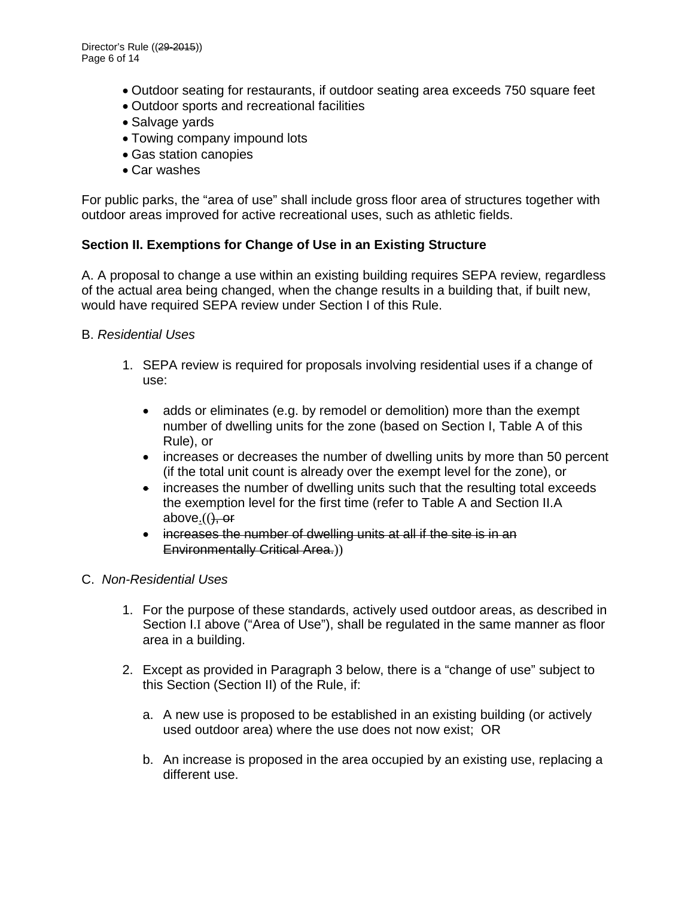- Outdoor seating for restaurants, if outdoor seating area exceeds 750 square feet
- Outdoor sports and recreational facilities
- Salvage yards
- Towing company impound lots
- Gas station canopies
- Car washes

For public parks, the "area of use" shall include gross floor area of structures together with outdoor areas improved for active recreational uses, such as athletic fields.

#### **Section II. Exemptions for Change of Use in an Existing Structure**

A. A proposal to change a use within an existing building requires SEPA review, regardless of the actual area being changed, when the change results in a building that, if built new, would have required SEPA review under Section I of this Rule.

#### B. *Residential Uses*

- 1. SEPA review is required for proposals involving residential uses if a change of use:
	- adds or eliminates (e.g. by remodel or demolition) more than the exempt number of dwelling units for the zone (based on Section I, Table A of this Rule), or
	- increases or decreases the number of dwelling units by more than 50 percent (if the total unit count is already over the exempt level for the zone), or
	- increases the number of dwelling units such that the resulting total exceeds the exemption level for the first time (refer to Table A and Section II.A above. $(($ ), or
	- increases the number of dwelling units at all if the site is in an Environmentally Critical Area.))

#### C. *Non-Residential Uses*

- 1. For the purpose of these standards, actively used outdoor areas, as described in Section I.I above ("Area of Use"), shall be regulated in the same manner as floor area in a building.
- 2. Except as provided in Paragraph 3 below, there is a "change of use" subject to this Section (Section II) of the Rule, if:
	- a. A new use is proposed to be established in an existing building (or actively used outdoor area) where the use does not now exist; OR
	- b. An increase is proposed in the area occupied by an existing use, replacing a different use.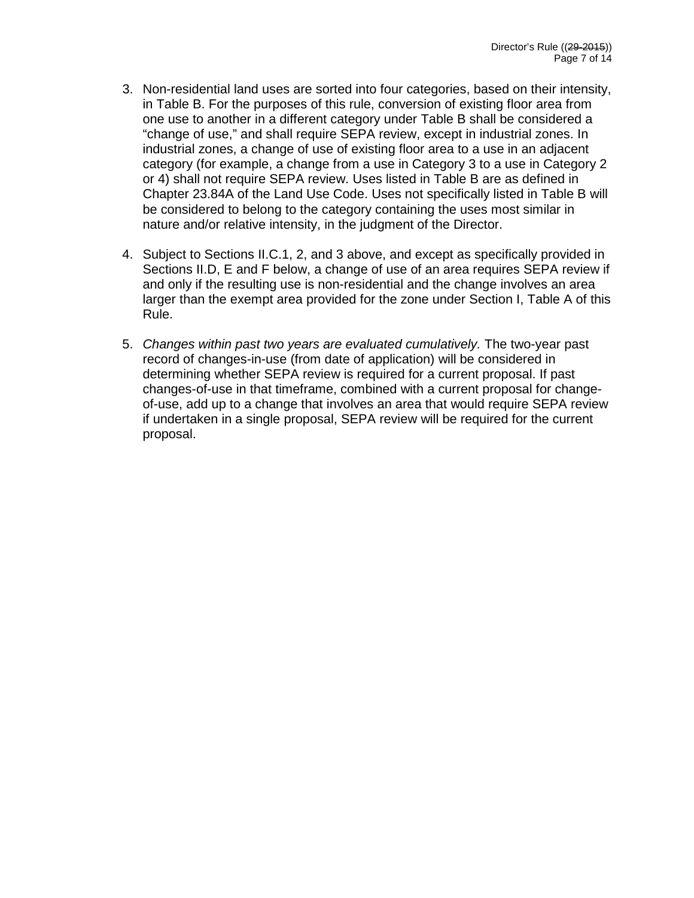- 3. Non-residential land uses are sorted into four categories, based on their intensity, in Table B. For the purposes of this rule, conversion of existing floor area from one use to another in a different category under Table B shall be considered a "change of use," and shall require SEPA review, except in industrial zones. In industrial zones, a change of use of existing floor area to a use in an adjacent category (for example, a change from a use in Category 3 to a use in Category 2 or 4) shall not require SEPA review. Uses listed in Table B are as defined in Chapter 23.84A of the Land Use Code. Uses not specifically listed in Table B will be considered to belong to the category containing the uses most similar in nature and/or relative intensity, in the judgment of the Director.
- 4. Subject to Sections II.C.1, 2, and 3 above, and except as specifically provided in Sections II.D, E and F below, a change of use of an area requires SEPA review if and only if the resulting use is non-residential and the change involves an area larger than the exempt area provided for the zone under Section I, Table A of this Rule.
- 5. *Changes within past two years are evaluated cumulatively.* The two-year past record of changes-in-use (from date of application) will be considered in determining whether SEPA review is required for a current proposal. If past changes-of-use in that timeframe, combined with a current proposal for changeof-use, add up to a change that involves an area that would require SEPA review if undertaken in a single proposal, SEPA review will be required for the current proposal.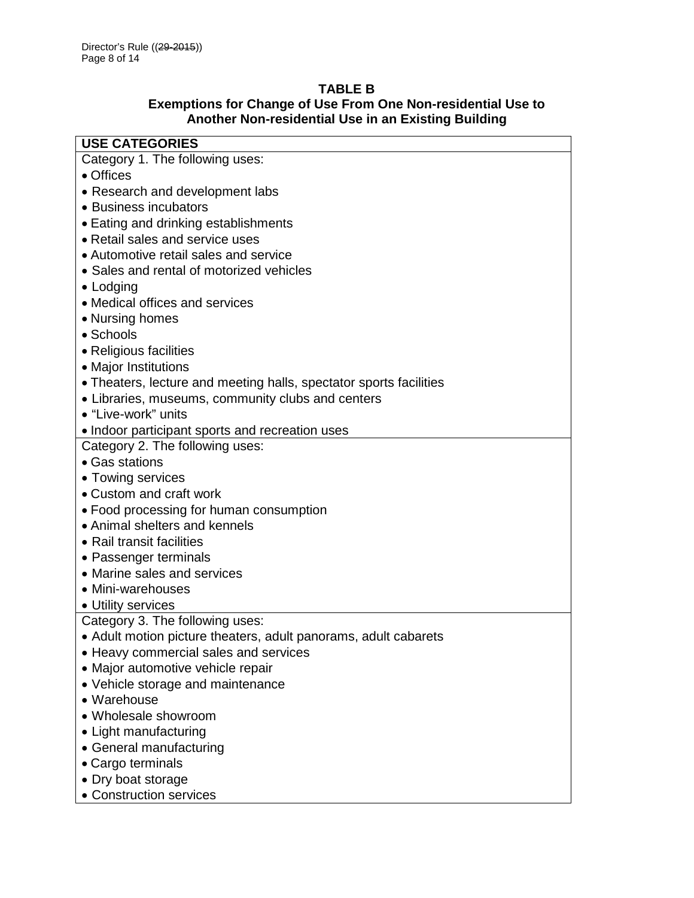# **TABLE B**

### **Exemptions for Change of Use From One Non-residential Use to Another Non-residential Use in an Existing Building**

| <b>USE CATEGORIES</b>                                              |
|--------------------------------------------------------------------|
| Category 1. The following uses:                                    |
| • Offices                                                          |
| • Research and development labs                                    |
| • Business incubators                                              |
| • Eating and drinking establishments                               |
| • Retail sales and service uses                                    |
| • Automotive retail sales and service                              |
| • Sales and rental of motorized vehicles                           |
| $\bullet$ Lodging                                                  |
| • Medical offices and services                                     |
| • Nursing homes                                                    |
| • Schools                                                          |
| • Religious facilities                                             |
| • Major Institutions                                               |
| • Theaters, lecture and meeting halls, spectator sports facilities |
| • Libraries, museums, community clubs and centers                  |
| • "Live-work" units                                                |
| • Indoor participant sports and recreation uses                    |
| Category 2. The following uses:                                    |
| • Gas stations                                                     |
| • Towing services                                                  |
| • Custom and craft work                                            |
| • Food processing for human consumption                            |
| • Animal shelters and kennels                                      |
| • Rail transit facilities                                          |
| • Passenger terminals                                              |
| • Marine sales and services                                        |
| • Mini-warehouses                                                  |
| • Utility services                                                 |
| Category 3. The following uses:                                    |
| • Adult motion picture theaters, adult panorams, adult cabarets    |
| • Heavy commercial sales and services                              |
| · Major automotive vehicle repair                                  |
| • Vehicle storage and maintenance                                  |
| • Warehouse                                                        |
| • Wholesale showroom                                               |
| • Light manufacturing                                              |
| • General manufacturing                                            |
| • Cargo terminals                                                  |
| • Dry boat storage                                                 |
| • Construction services                                            |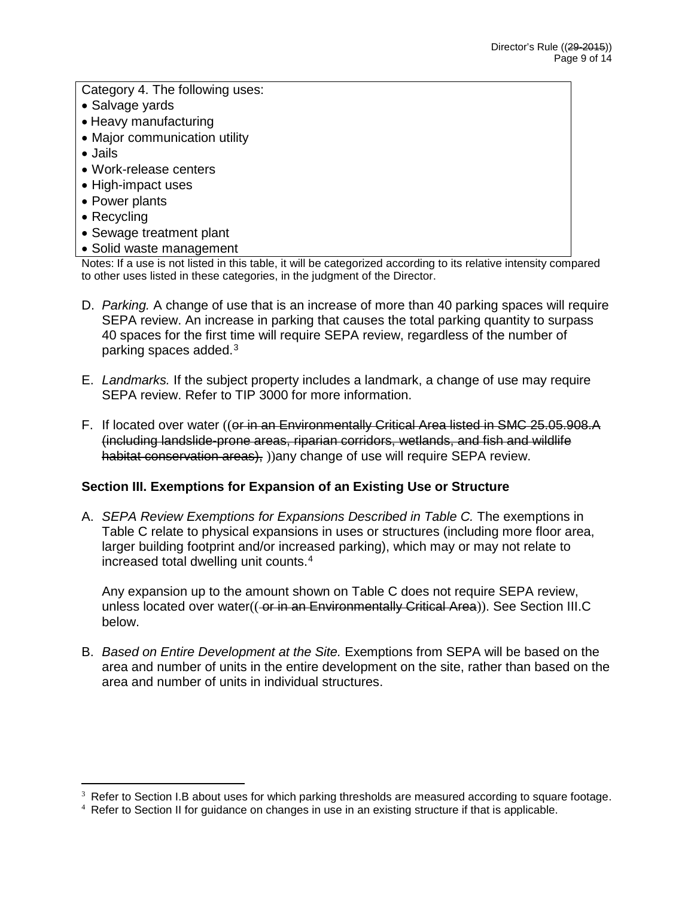Category 4. The following uses:

- Salvage yards
- Heavy manufacturing
- Major communication utility
- Jails
- Work-release centers
- High-impact uses
- Power plants
- Recycling
- Sewage treatment plant
- Solid waste management

Notes: If a use is not listed in this table, it will be categorized according to its relative intensity compared to other uses listed in these categories, in the judgment of the Director.

- D. *Parking.* A change of use that is an increase of more than 40 parking spaces will require SEPA review. An increase in parking that causes the total parking quantity to surpass 40 spaces for the first time will require SEPA review, regardless of the number of parking spaces added.[3](#page-8-0)
- E. *Landmarks.* If the subject property includes a landmark, a change of use may require SEPA review. Refer to TIP 3000 for more information.
- F. If located over water ((or in an Environmentally Critical Area listed in SMC 25.05.908.A (including landslide-prone areas, riparian corridors, wetlands, and fish and wildlife habitat conservation areas), ))any change of use will require SEPA review.

# **Section III. Exemptions for Expansion of an Existing Use or Structure**

A. *SEPA Review Exemptions for Expansions Described in Table C.* The exemptions in Table C relate to physical expansions in uses or structures (including more floor area, larger building footprint and/or increased parking), which may or may not relate to increased total dwelling unit counts.[4](#page-8-1)

Any expansion up to the amount shown on Table C does not require SEPA review, unless located over water((-or in an Environmentally Critical Area)). See Section III.C below.

B. *Based on Entire Development at the Site.* Exemptions from SEPA will be based on the area and number of units in the entire development on the site, rather than based on the area and number of units in individual structures.

<span id="page-8-0"></span> $3$  Refer to Section I.B about uses for which parking thresholds are measured according to square footage.  $\overline{a}$ 

<span id="page-8-1"></span><sup>&</sup>lt;sup>4</sup> Refer to Section II for guidance on changes in use in an existing structure if that is applicable.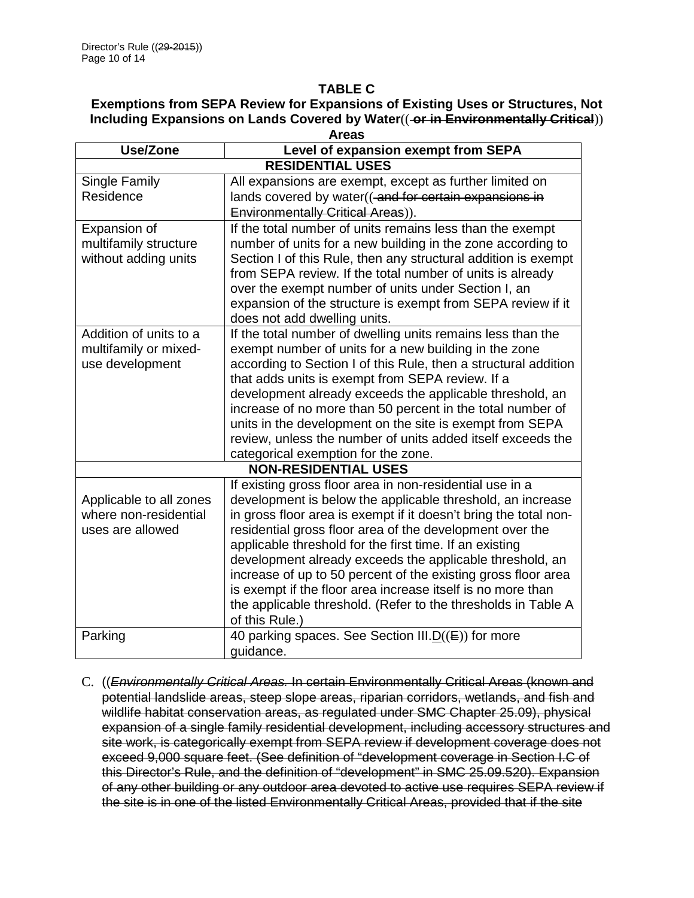#### **TABLE C**

# **Exemptions from SEPA Review for Expansions of Existing Uses or Structures, Not Including Expansions on Lands Covered by Water**(( **or in Environmentally Critical**))

| Areas                   |                                                                                                                              |  |
|-------------------------|------------------------------------------------------------------------------------------------------------------------------|--|
| <b>Use/Zone</b>         | Level of expansion exempt from SEPA                                                                                          |  |
| <b>RESIDENTIAL USES</b> |                                                                                                                              |  |
| Single Family           | All expansions are exempt, except as further limited on                                                                      |  |
| Residence               | lands covered by water((-and for certain expansions in                                                                       |  |
|                         | <b>Environmentally Critical Areas)).</b>                                                                                     |  |
| Expansion of            | If the total number of units remains less than the exempt                                                                    |  |
| multifamily structure   | number of units for a new building in the zone according to                                                                  |  |
| without adding units    | Section I of this Rule, then any structural addition is exempt                                                               |  |
|                         | from SEPA review. If the total number of units is already                                                                    |  |
|                         | over the exempt number of units under Section I, an                                                                          |  |
|                         | expansion of the structure is exempt from SEPA review if it                                                                  |  |
|                         | does not add dwelling units.                                                                                                 |  |
| Addition of units to a  | If the total number of dwelling units remains less than the                                                                  |  |
| multifamily or mixed-   | exempt number of units for a new building in the zone                                                                        |  |
| use development         | according to Section I of this Rule, then a structural addition                                                              |  |
|                         | that adds units is exempt from SEPA review. If a                                                                             |  |
|                         | development already exceeds the applicable threshold, an                                                                     |  |
|                         | increase of no more than 50 percent in the total number of                                                                   |  |
|                         | units in the development on the site is exempt from SEPA                                                                     |  |
|                         | review, unless the number of units added itself exceeds the                                                                  |  |
|                         | categorical exemption for the zone.                                                                                          |  |
|                         | <b>NON-RESIDENTIAL USES</b>                                                                                                  |  |
|                         | If existing gross floor area in non-residential use in a                                                                     |  |
| Applicable to all zones | development is below the applicable threshold, an increase                                                                   |  |
| where non-residential   | in gross floor area is exempt if it doesn't bring the total non-                                                             |  |
| uses are allowed        | residential gross floor area of the development over the                                                                     |  |
|                         | applicable threshold for the first time. If an existing                                                                      |  |
|                         | development already exceeds the applicable threshold, an                                                                     |  |
|                         | increase of up to 50 percent of the existing gross floor area<br>is exempt if the floor area increase itself is no more than |  |
|                         |                                                                                                                              |  |
|                         | the applicable threshold. (Refer to the thresholds in Table A<br>of this Rule.)                                              |  |
| Parking                 | 40 parking spaces. See Section III.D((E)) for more                                                                           |  |
|                         | quidance.                                                                                                                    |  |

C. ((*Environmentally Critical Areas.* In certain Environmentally Critical Areas (known and potential landslide areas, steep slope areas, riparian corridors, wetlands, and fish and wildlife habitat conservation areas, as regulated under SMC Chapter 25.09), physical expansion of a single family residential development, including accessory structures and site work, is categorically exempt from SEPA review if development coverage does not exceed 9,000 square feet. (See definition of "development coverage in Section I.C of this Director's Rule, and the definition of "development" in SMC 25.09.520). Expansion of any other building or any outdoor area devoted to active use requires SEPA review if the site is in one of the listed Environmentally Critical Areas, provided that if the site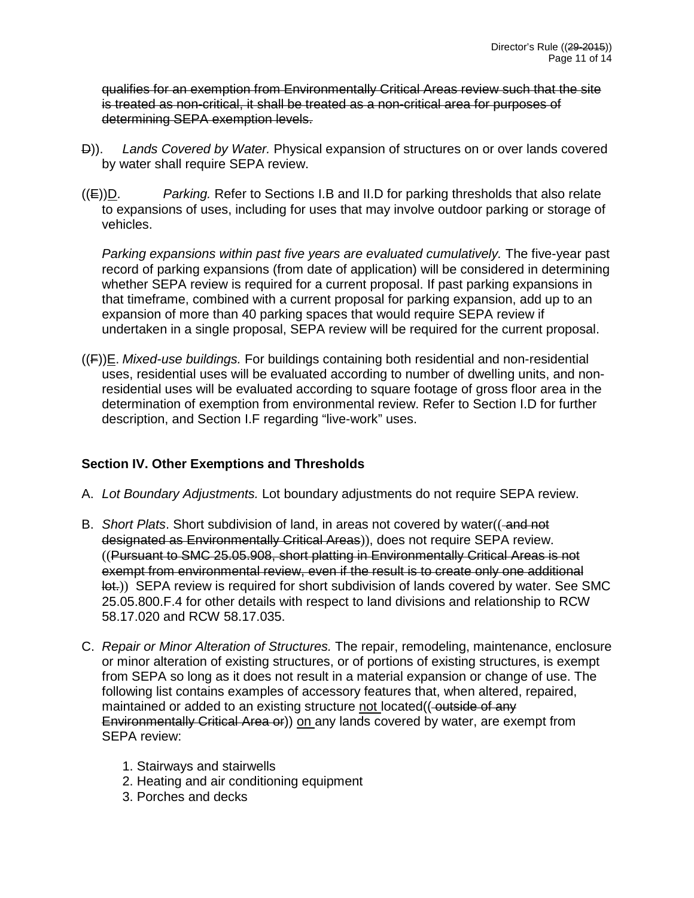qualifies for an exemption from Environmentally Critical Areas review such that the site is treated as non-critical, it shall be treated as a non-critical area for purposes of determining SEPA exemption levels.

- D)). *Lands Covered by Water.* Physical expansion of structures on or over lands covered by water shall require SEPA review.
- ((E))D. *Parking.* Refer to Sections I.B and II.D for parking thresholds that also relate to expansions of uses, including for uses that may involve outdoor parking or storage of vehicles.

*Parking expansions within past five years are evaluated cumulatively.* The five-year past record of parking expansions (from date of application) will be considered in determining whether SEPA review is required for a current proposal. If past parking expansions in that timeframe, combined with a current proposal for parking expansion, add up to an expansion of more than 40 parking spaces that would require SEPA review if undertaken in a single proposal, SEPA review will be required for the current proposal.

((F))E. *Mixed-use buildings.* For buildings containing both residential and non-residential uses, residential uses will be evaluated according to number of dwelling units, and nonresidential uses will be evaluated according to square footage of gross floor area in the determination of exemption from environmental review. Refer to Section I.D for further description, and Section I.F regarding "live-work" uses.

# **Section IV. Other Exemptions and Thresholds**

- A. *Lot Boundary Adjustments.* Lot boundary adjustments do not require SEPA review.
- B. *Short Plats*. Short subdivision of land, in areas not covered by water((-and not designated as Environmentally Critical Areas)), does not require SEPA review. ((Pursuant to SMC 25.05.908, short platting in Environmentally Critical Areas is not exempt from environmental review, even if the result is to create only one additional lot.)) SEPA review is required for short subdivision of lands covered by water. See SMC 25.05.800.F.4 for other details with respect to land divisions and relationship to RCW 58.17.020 and RCW 58.17.035.
- C. *Repair or Minor Alteration of Structures.* The repair, remodeling, maintenance, enclosure or minor alteration of existing structures, or of portions of existing structures, is exempt from SEPA so long as it does not result in a material expansion or change of use. The following list contains examples of accessory features that, when altered, repaired, maintained or added to an existing structure not located((-outside of any Environmentally Critical Area or)) on any lands covered by water, are exempt from SEPA review:
	- 1. Stairways and stairwells
	- 2. Heating and air conditioning equipment
	- 3. Porches and decks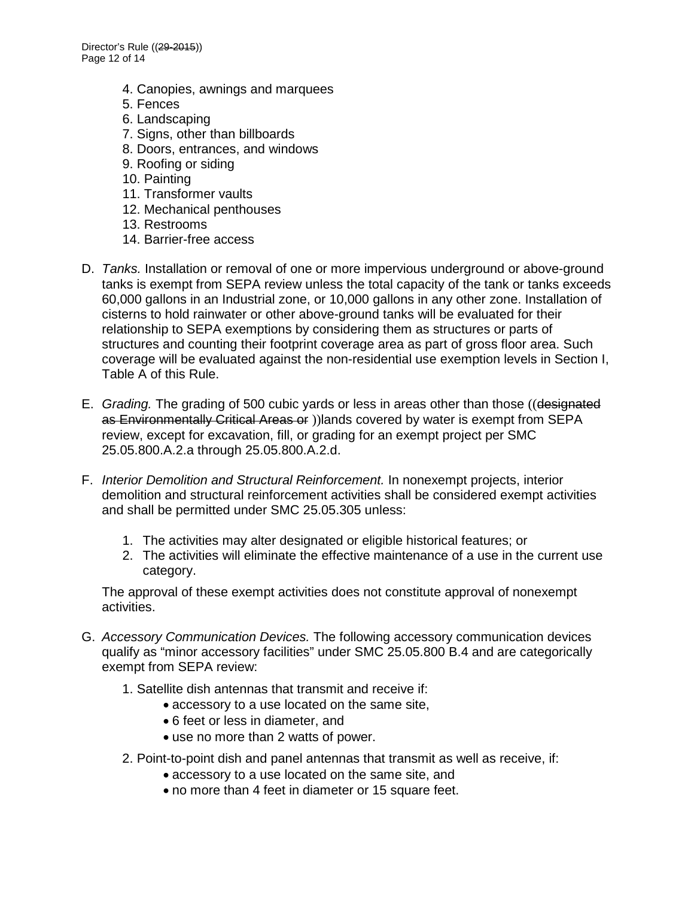- 4. Canopies, awnings and marquees
- 5. Fences
- 6. Landscaping
- 7. Signs, other than billboards
- 8. Doors, entrances, and windows
- 9. Roofing or siding
- 10. Painting
- 11. Transformer vaults
- 12. Mechanical penthouses
- 13. Restrooms
- 14. Barrier-free access
- D. *Tanks.* Installation or removal of one or more impervious underground or above-ground tanks is exempt from SEPA review unless the total capacity of the tank or tanks exceeds 60,000 gallons in an Industrial zone, or 10,000 gallons in any other zone. Installation of cisterns to hold rainwater or other above-ground tanks will be evaluated for their relationship to SEPA exemptions by considering them as structures or parts of structures and counting their footprint coverage area as part of gross floor area. Such coverage will be evaluated against the non-residential use exemption levels in Section I, Table A of this Rule.
- E. *Grading.* The grading of 500 cubic yards or less in areas other than those ((designated as Environmentally Critical Areas or )) lands covered by water is exempt from SEPA review, except for excavation, fill, or grading for an exempt project per SMC 25.05.800.A.2.a through 25.05.800.A.2.d.
- F. *Interior Demolition and Structural Reinforcement.* In nonexempt projects, interior demolition and structural reinforcement activities shall be considered exempt activities and shall be permitted under SMC 25.05.305 unless:
	- 1. The activities may alter designated or eligible historical features; or
	- 2. The activities will eliminate the effective maintenance of a use in the current use category.

The approval of these exempt activities does not constitute approval of nonexempt activities.

- G. *Accessory Communication Devices.* The following accessory communication devices qualify as "minor accessory facilities" under SMC 25.05.800 B.4 and are categorically exempt from SEPA review:
	- 1. Satellite dish antennas that transmit and receive if:
		- accessory to a use located on the same site,
		- 6 feet or less in diameter, and
		- use no more than 2 watts of power.
	- 2. Point-to-point dish and panel antennas that transmit as well as receive, if:
		- accessory to a use located on the same site, and
		- no more than 4 feet in diameter or 15 square feet.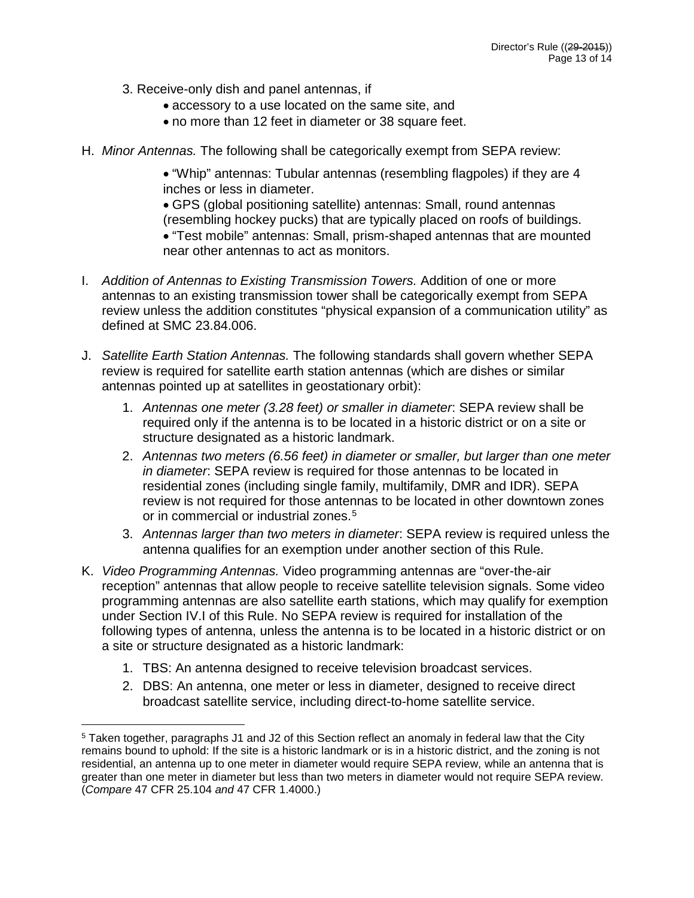- 3. Receive-only dish and panel antennas, if
	- accessory to a use located on the same site, and
	- no more than 12 feet in diameter or 38 square feet.
- H. *Minor Antennas.* The following shall be categorically exempt from SEPA review:

• "Whip" antennas: Tubular antennas (resembling flagpoles) if they are 4 inches or less in diameter.

• GPS (global positioning satellite) antennas: Small, round antennas (resembling hockey pucks) that are typically placed on roofs of buildings.

• "Test mobile" antennas: Small, prism-shaped antennas that are mounted near other antennas to act as monitors.

- I. *Addition of Antennas to Existing Transmission Towers.* Addition of one or more antennas to an existing transmission tower shall be categorically exempt from SEPA review unless the addition constitutes "physical expansion of a communication utility" as defined at SMC 23.84.006.
- J. *Satellite Earth Station Antennas.* The following standards shall govern whether SEPA review is required for satellite earth station antennas (which are dishes or similar antennas pointed up at satellites in geostationary orbit):
	- 1. *Antennas one meter (3.28 feet) or smaller in diameter*: SEPA review shall be required only if the antenna is to be located in a historic district or on a site or structure designated as a historic landmark.
	- 2. *Antennas two meters (6.56 feet) in diameter or smaller, but larger than one meter in diameter*: SEPA review is required for those antennas to be located in residential zones (including single family, multifamily, DMR and IDR). SEPA review is not required for those antennas to be located in other downtown zones or in commercial or industrial zones.<sup>[5](#page-12-0)</sup>
	- 3. *Antennas larger than two meters in diameter*: SEPA review is required unless the antenna qualifies for an exemption under another section of this Rule.
- K. *Video Programming Antennas.* Video programming antennas are "over-the-air reception" antennas that allow people to receive satellite television signals. Some video programming antennas are also satellite earth stations, which may qualify for exemption under Section IV.I of this Rule. No SEPA review is required for installation of the following types of antenna, unless the antenna is to be located in a historic district or on a site or structure designated as a historic landmark:
	- 1. TBS: An antenna designed to receive television broadcast services.

 $\overline{a}$ 

2. DBS: An antenna, one meter or less in diameter, designed to receive direct broadcast satellite service, including direct-to-home satellite service.

<span id="page-12-0"></span><sup>5</sup> Taken together, paragraphs J1 and J2 of this Section reflect an anomaly in federal law that the City remains bound to uphold: If the site is a historic landmark or is in a historic district, and the zoning is not residential, an antenna up to one meter in diameter would require SEPA review, while an antenna that is greater than one meter in diameter but less than two meters in diameter would not require SEPA review. (*Compare* 47 CFR 25.104 *and* 47 CFR 1.4000.)